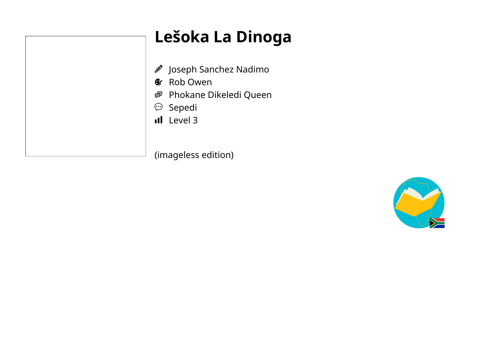## **Lešoka La Dinoga**

- Joseph Sanchez Nadimo
- & Rob Owen
- Phokane Dikeledi Queen
- $\mathfrak{S}$  Sepedi
- Il Level 3

(imageless edition)

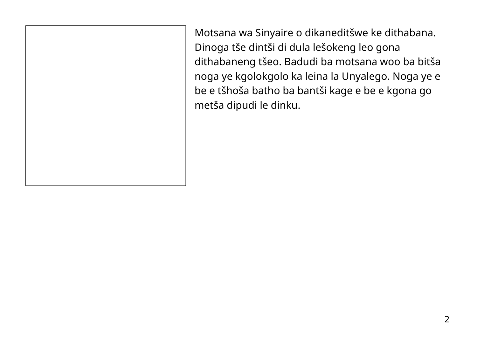Motsana wa Sinyaire o dikaneditšwe ke dithabana. Dinoga tše dintši di dula lešokeng leo gona dithabaneng tšeo. Badudi ba motsana woo ba bitša noga ye kgolokgolo ka leina la Unyalego. Noga ye e be e tšhoša batho ba bantši kage e be e kgona go metša dipudi le dinku.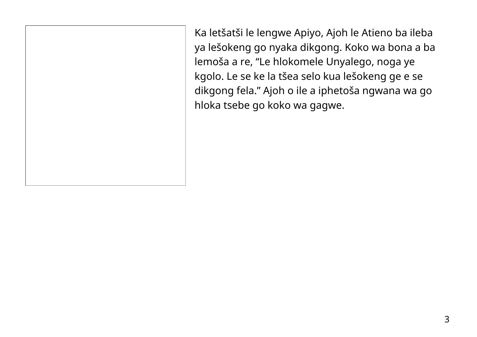Ka letšatši le lengwe Apiyo, Ajoh le Atieno ba ileba ya lešokeng go nyaka dikgong. Koko wa bona a ba lemoša a re, "Le hlokomele Unyalego, noga ye kgolo. Le se ke la tšea selo kua lešokeng ge e se dikgong fela." Ajoh o ile a iphetoša ngwana wa go hloka tsebe go koko wa gagwe.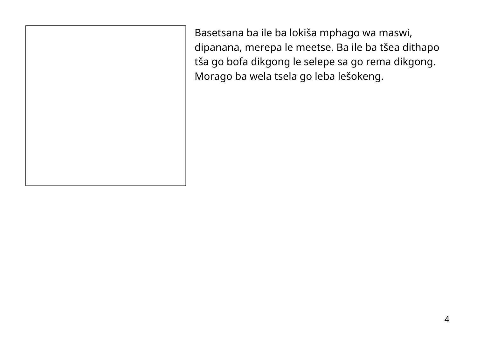Basetsana ba ile ba lokiša mphago wa maswi, dipanana, merepa le meetse. Ba ile ba tšea dithapo tša go bofa dikgong le selepe sa go rema dikgong. Morago ba wela tsela go leba lešokeng.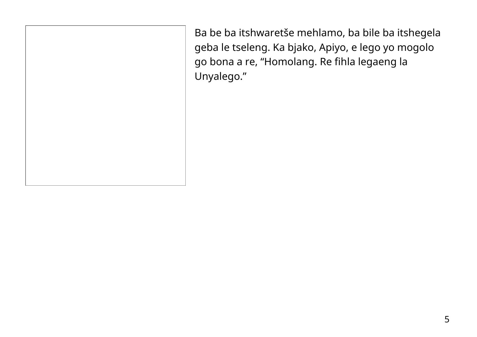Ba be ba itshwaretše mehlamo, ba bile ba itshegela geba le tseleng. Ka bjako, Apiyo, e lego yo mogolo go bona a re, "Homolang. Re fihla legaeng la Unyalego."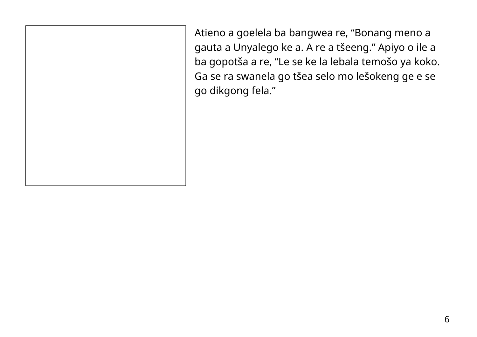Atieno a goelela ba bangwea re, "Bonang meno a gauta a Unyalego ke a. A re a tšeeng." Apiyo o ile a ba gopotša a re, "Le se ke la lebala temošo ya koko. Ga se ra swanela go tšea selo mo lešokeng ge e se go dikgong fela."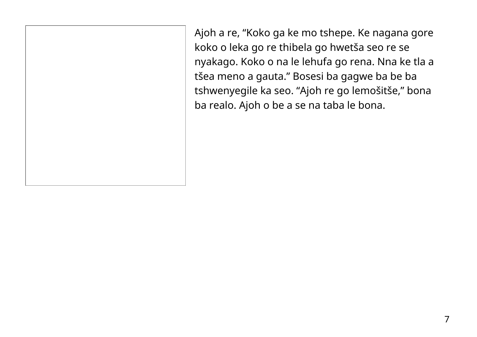Ajoh a re, "Koko ga ke mo tshepe. Ke nagana gore koko o leka go re thibela go hwetša seo re se nyakago. Koko o na le lehufa go rena. Nna ke tla a tšea meno a gauta." Bosesi ba gagwe ba be ba tshwenyegile ka seo. "Ajoh re go lemošitše," bona ba realo. Ajoh o be a se na taba le bona.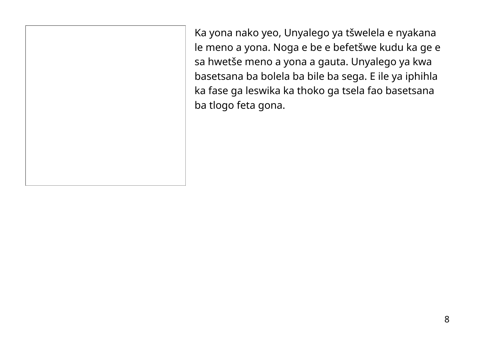Ka yona nako yeo, Unyalego ya tšwelela e nyakana le meno a yona. Noga e be e befetšwe kudu ka ge e sa hwetše meno a yona a gauta. Unyalego ya kwa basetsana ba bolela ba bile ba sega. E ile ya iphihla ka fase ga leswika ka thoko ga tsela fao basetsana ba tlogo feta gona.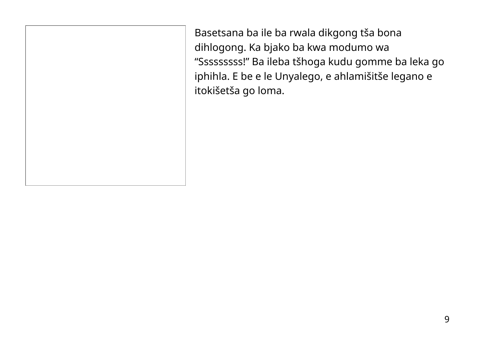Basetsana ba ile ba rwala dikgong tša bona dihlogong. Ka bjako ba kwa modumo wa "Sssssssss!" Ba ileba tšhoga kudu gomme ba leka go iphihla. E be e le Unyalego, e ahlamišitše legano e itokišetša go loma.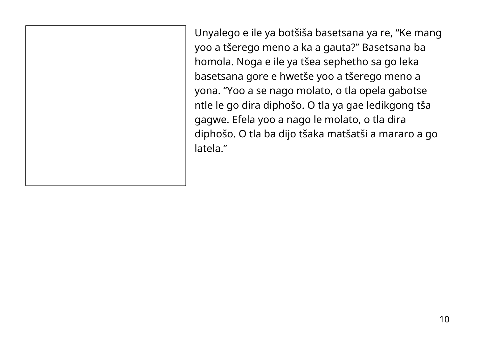Unyalego e ile ya botšiša basetsana ya re, "Ke mang yoo a tšerego meno a ka a gauta?" Basetsana ba homola. Noga e ile ya tšea sephetho sa go leka basetsana gore e hwetše yoo a tšerego meno a yona. "Yoo a se nago molato, o tla opela gabotse ntle le go dira diphošo. O tla ya gae ledikgong tša gagwe. Efela yoo a nago le molato, o tla dira diphošo. O tla ba dijo tšaka matšatši a mararo a go latela."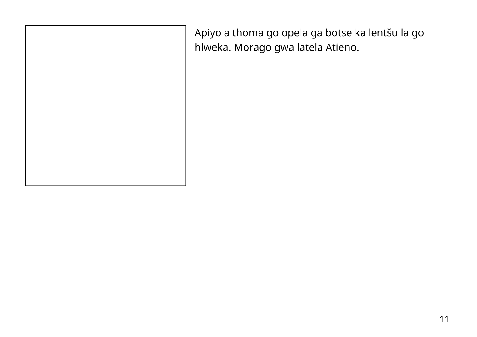Apiyo a thoma go opela ga botse ka lentšu la go hlweka. Morago gwa latela Atieno.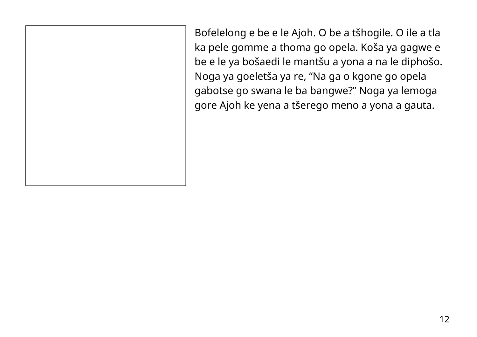Bofelelong e be e le Ajoh. O be a tšhogile. O ile a tla ka pele gomme a thoma go opela. Koša ya gagwe e be e le ya bošaedi le mantšu a yona a na le diphošo. Noga ya goeletša ya re, "Na ga o kgone go opela gabotse go swana le ba bangwe?" Noga ya lemoga gore Ajoh ke yena a tšerego meno a yona a gauta.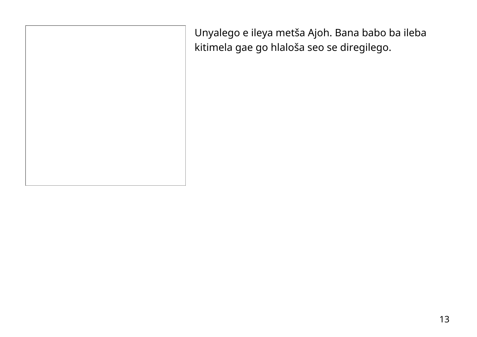| Unyalego e ileya metša Ajoh. Bana babo ba ileba<br>kitimela gae go hlaloša seo se diregilego. |
|-----------------------------------------------------------------------------------------------|
|                                                                                               |
|                                                                                               |
|                                                                                               |